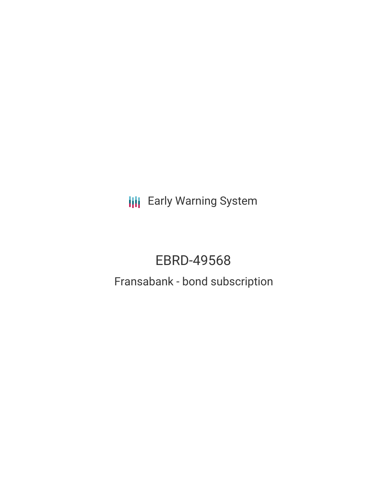**III** Early Warning System

# EBRD-49568

# Fransabank - bond subscription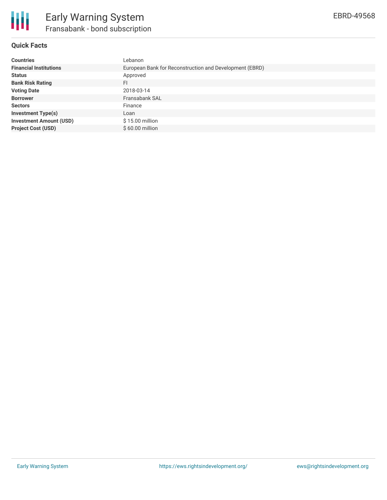

## **Quick Facts**

| <b>Countries</b>               | Lebanon                                                 |
|--------------------------------|---------------------------------------------------------|
| <b>Financial Institutions</b>  | European Bank for Reconstruction and Development (EBRD) |
| <b>Status</b>                  | Approved                                                |
| <b>Bank Risk Rating</b>        | FI                                                      |
| <b>Voting Date</b>             | 2018-03-14                                              |
| <b>Borrower</b>                | Fransabank SAL                                          |
| <b>Sectors</b>                 | Finance                                                 |
| <b>Investment Type(s)</b>      | Loan                                                    |
| <b>Investment Amount (USD)</b> | $$15.00$ million                                        |
| <b>Project Cost (USD)</b>      | \$60.00 million                                         |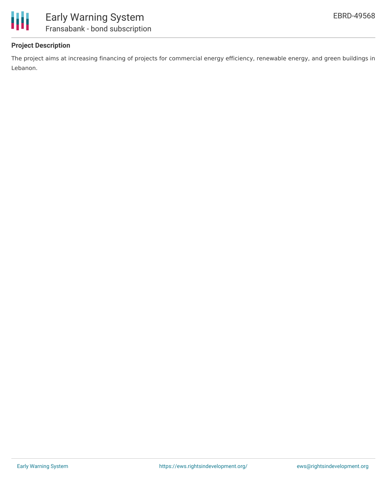

### **Project Description**

The project aims at increasing financing of projects for commercial energy efficiency, renewable energy, and green buildings in Lebanon.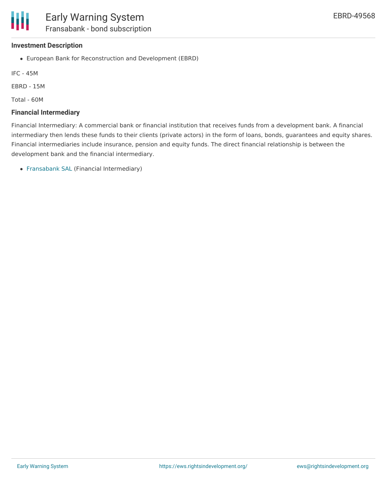#### **Investment Description**

European Bank for Reconstruction and Development (EBRD)

IFC - 45M

EBRD - 15M

Total - 60M

#### **Financial Intermediary**

Financial Intermediary: A commercial bank or financial institution that receives funds from a development bank. A financial intermediary then lends these funds to their clients (private actors) in the form of loans, bonds, guarantees and equity shares. Financial intermediaries include insurance, pension and equity funds. The direct financial relationship is between the development bank and the financial intermediary.

[Fransabank](file:///actor/356/) SAL (Financial Intermediary)